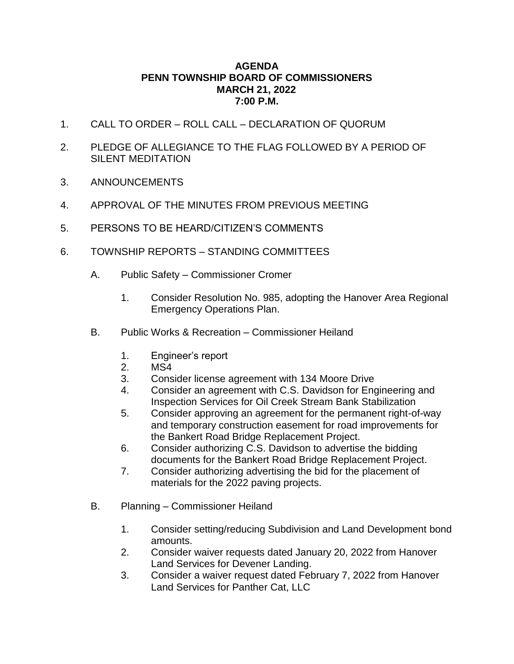## **AGENDA PENN TOWNSHIP BOARD OF COMMISSIONERS MARCH 21, 2022 7:00 P.M.**

- 1. CALL TO ORDER ROLL CALL DECLARATION OF QUORUM
- 2. PLEDGE OF ALLEGIANCE TO THE FLAG FOLLOWED BY A PERIOD OF SILENT MEDITATION
- 3. ANNOUNCEMENTS
- 4. APPROVAL OF THE MINUTES FROM PREVIOUS MEETING
- 5. PERSONS TO BE HEARD/CITIZEN'S COMMENTS
- 6. TOWNSHIP REPORTS STANDING COMMITTEES
	- A. Public Safety Commissioner Cromer
		- 1. Consider Resolution No. 985, adopting the Hanover Area Regional Emergency Operations Plan.
	- B. Public Works & Recreation Commissioner Heiland
		- 1. Engineer's report
		- 2. MS4
		- 3. Consider license agreement with 134 Moore Drive
		- 4. Consider an agreement with C.S. Davidson for Engineering and Inspection Services for Oil Creek Stream Bank Stabilization
		- 5. Consider approving an agreement for the permanent right-of-way and temporary construction easement for road improvements for the Bankert Road Bridge Replacement Project.
		- 6. Consider authorizing C.S. Davidson to advertise the bidding documents for the Bankert Road Bridge Replacement Project.
		- 7. Consider authorizing advertising the bid for the placement of materials for the 2022 paving projects.
	- B. Planning Commissioner Heiland
		- 1. Consider setting/reducing Subdivision and Land Development bond amounts.
		- 2. Consider waiver requests dated January 20, 2022 from Hanover Land Services for Devener Landing.
		- 3. Consider a waiver request dated February 7, 2022 from Hanover Land Services for Panther Cat, LLC